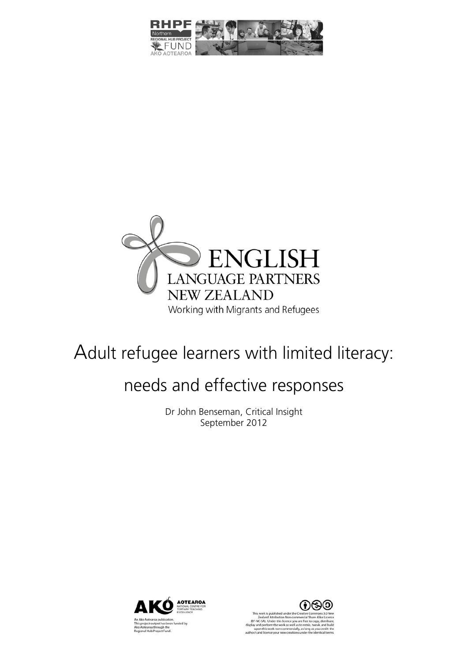



# Adult refugee learners with limited literacy:

# needs and effective responses

Dr John Benseman, Critical Insight September 2012





:-SA). Under this licence you are !<br>d perform the work as well as to !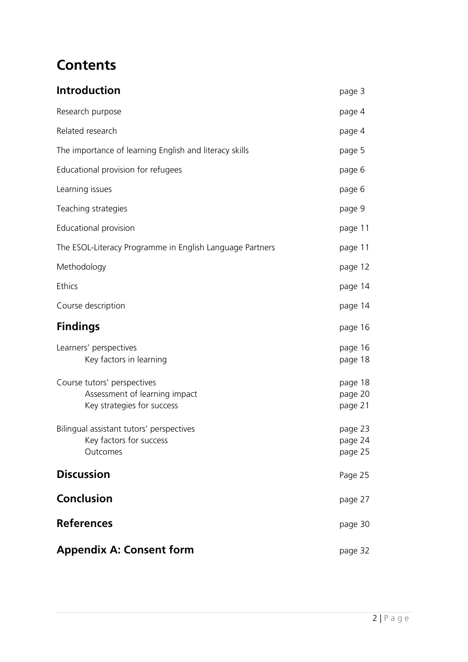## **Contents**

| <b>Introduction</b>                                                                        | page 3                        |
|--------------------------------------------------------------------------------------------|-------------------------------|
| Research purpose                                                                           | page 4                        |
| Related research                                                                           | page 4                        |
| The importance of learning English and literacy skills                                     | page 5                        |
| Educational provision for refugees                                                         | page 6                        |
| Learning issues                                                                            | page 6                        |
| Teaching strategies                                                                        | page 9                        |
| Educational provision                                                                      | page 11                       |
| The ESOL-Literacy Programme in English Language Partners                                   | page 11                       |
| Methodology                                                                                | page 12                       |
| Ethics                                                                                     | page 14                       |
| Course description                                                                         | page 14                       |
| <b>Findings</b>                                                                            | page 16                       |
| Learners' perspectives<br>Key factors in learning                                          | page 16<br>page 18            |
| Course tutors' perspectives<br>Assessment of learning impact<br>Key strategies for success | page 18<br>page 20<br>page 21 |
| Bilingual assistant tutors' perspectives<br>Key factors for success<br>Outcomes            | page 23<br>page 24<br>page 25 |
| <b>Discussion</b>                                                                          | Page 25                       |
| <b>Conclusion</b>                                                                          | page 27                       |
| <b>References</b>                                                                          | page 30                       |
| <b>Appendix A: Consent form</b>                                                            | page 32                       |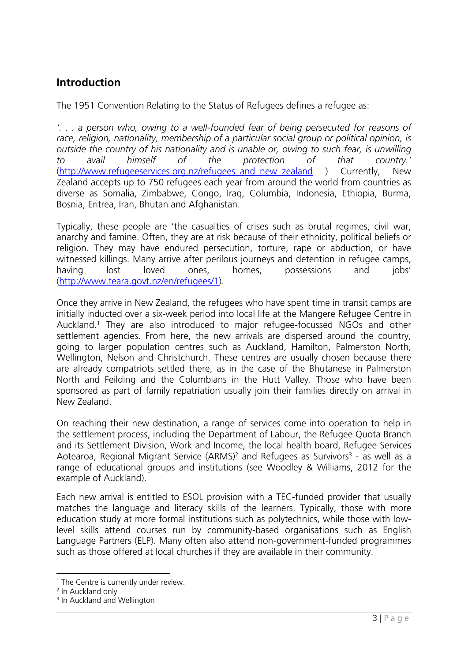## **Introduction**

The 1951 Convention Relating to the Status of Refugees defines a refugee as:

*'. . . a person who, owing to a well-founded fear of being persecuted for reasons of race, religion, nationality, membership of a particular social group or political opinion, is outside the country of his nationality and is unable or, owing to such fear, is unwilling to avail himself of the protection of that country.'*  (http://www.refugeeservices.org.nz/refugees\_and\_new\_zealand ) Currently, New Zealand accepts up to 750 refugees each year from around the world from countries as diverse as Somalia, Zimbabwe, Congo, Iraq, Columbia, Indonesia, Ethiopia, Burma, Bosnia, Eritrea, Iran, Bhutan and Afghanistan.

Typically, these people are 'the casualties of crises such as brutal regimes, civil war, anarchy and famine. Often, they are at risk because of their ethnicity, political beliefs or religion. They may have endured persecution, torture, rape or abduction, or have witnessed killings. Many arrive after perilous journeys and detention in refugee camps, having lost loved ones, homes, possessions and jobs' (http://www.teara.govt.nz/en/refugees/1).

Once they arrive in New Zealand, the refugees who have spent time in transit camps are initially inducted over a six-week period into local life at the Mangere Refugee Centre in Auckland.<sup>1</sup> They are also introduced to major refugee-focussed NGOs and other settlement agencies. From here, the new arrivals are dispersed around the country, going to larger population centres such as Auckland, Hamilton, Palmerston North, Wellington, Nelson and Christchurch. These centres are usually chosen because there are already compatriots settled there, as in the case of the Bhutanese in Palmerston North and Feilding and the Columbians in the Hutt Valley. Those who have been sponsored as part of family repatriation usually join their families directly on arrival in New Zealand.

On reaching their new destination, a range of services come into operation to help in the settlement process, including the Department of Labour, the Refugee Quota Branch and its Settlement Division, Work and Income, the local health board, Refugee Services Aotearoa, Regional Migrant Service (ARMS)<sup>2</sup> and Refugees as Survivors<sup>3</sup> - as well as a range of educational groups and institutions (see Woodley & Williams, 2012 for the example of Auckland).

Each new arrival is entitled to ESOL provision with a TEC-funded provider that usually matches the language and literacy skills of the learners. Typically, those with more education study at more formal institutions such as polytechnics, while those with lowlevel skills attend courses run by community-based organisations such as English Language Partners (ELP). Many often also attend non-government-funded programmes such as those offered at local churches if they are available in their community.

 <sup>1</sup> The Centre is currently under review.

<sup>2</sup> In Auckland only

<sup>&</sup>lt;sup>3</sup> In Auckland and Wellington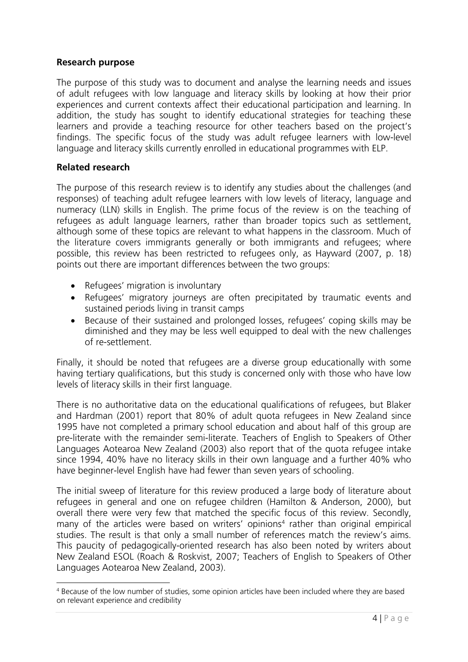#### **Research purpose**

The purpose of this study was to document and analyse the learning needs and issues of adult refugees with low language and literacy skills by looking at how their prior experiences and current contexts affect their educational participation and learning. In addition, the study has sought to identify educational strategies for teaching these learners and provide a teaching resource for other teachers based on the project's findings. The specific focus of the study was adult refugee learners with low-level language and literacy skills currently enrolled in educational programmes with ELP.

#### **Related research**

The purpose of this research review is to identify any studies about the challenges (and responses) of teaching adult refugee learners with low levels of literacy, language and numeracy (LLN) skills in English. The prime focus of the review is on the teaching of refugees as adult language learners, rather than broader topics such as settlement, although some of these topics are relevant to what happens in the classroom. Much of the literature covers immigrants generally or both immigrants and refugees; where possible, this review has been restricted to refugees only, as Hayward (2007, p. 18) points out there are important differences between the two groups:

- Refugees' migration is involuntary
- Refugees' migratory journeys are often precipitated by traumatic events and sustained periods living in transit camps
- Because of their sustained and prolonged losses, refugees' coping skills may be diminished and they may be less well equipped to deal with the new challenges of re-settlement.

Finally, it should be noted that refugees are a diverse group educationally with some having tertiary qualifications, but this study is concerned only with those who have low levels of literacy skills in their first language.

There is no authoritative data on the educational qualifications of refugees, but Blaker and Hardman (2001) report that 80% of adult quota refugees in New Zealand since 1995 have not completed a primary school education and about half of this group are pre-literate with the remainder semi-literate. Teachers of English to Speakers of Other Languages Aotearoa New Zealand (2003) also report that of the quota refugee intake since 1994, 40% have no literacy skills in their own language and a further 40% who have beginner-level English have had fewer than seven years of schooling.

The initial sweep of literature for this review produced a large body of literature about refugees in general and one on refugee children (Hamilton & Anderson, 2000), but overall there were very few that matched the specific focus of this review. Secondly, many of the articles were based on writers' opinions<sup>4</sup> rather than original empirical studies. The result is that only a small number of references match the review's aims. This paucity of pedagogically-oriented research has also been noted by writers about New Zealand ESOL (Roach & Roskvist, 2007; Teachers of English to Speakers of Other Languages Aotearoa New Zealand, 2003).

 4 Because of the low number of studies, some opinion articles have been included where they are based on relevant experience and credibility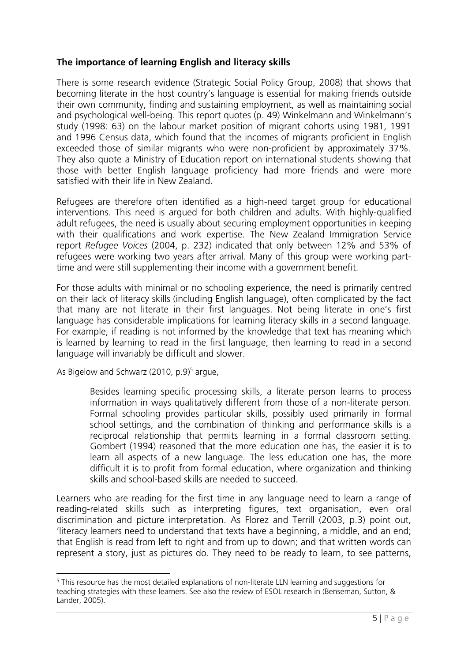## **The importance of learning English and literacy skills**

There is some research evidence (Strategic Social Policy Group, 2008) that shows that becoming literate in the host country's language is essential for making friends outside their own community, finding and sustaining employment, as well as maintaining social and psychological well-being. This report quotes (p. 49) Winkelmann and Winkelmann's study (1998: 63) on the labour market position of migrant cohorts using 1981, 1991 and 1996 Census data, which found that the incomes of migrants proficient in English exceeded those of similar migrants who were non-proficient by approximately 37%. They also quote a Ministry of Education report on international students showing that those with better English language proficiency had more friends and were more satisfied with their life in New Zealand.

Refugees are therefore often identified as a high-need target group for educational interventions. This need is argued for both children and adults. With highly-qualified adult refugees, the need is usually about securing employment opportunities in keeping with their qualifications and work expertise. The New Zealand Immigration Service report *Refugee Voices* (2004, p. 232) indicated that only between 12% and 53% of refugees were working two years after arrival. Many of this group were working parttime and were still supplementing their income with a government benefit.

For those adults with minimal or no schooling experience, the need is primarily centred on their lack of literacy skills (including English language), often complicated by the fact that many are not literate in their first languages. Not being literate in one's first language has considerable implications for learning literacy skills in a second language. For example, if reading is not informed by the knowledge that text has meaning which is learned by learning to read in the first language, then learning to read in a second language will invariably be difficult and slower.

As Bigelow and Schwarz (2010, p.9)<sup>5</sup> argue,

Besides learning specific processing skills, a literate person learns to process information in ways qualitatively different from those of a non-literate person. Formal schooling provides particular skills, possibly used primarily in formal school settings, and the combination of thinking and performance skills is a reciprocal relationship that permits learning in a formal classroom setting. Gombert (1994) reasoned that the more education one has, the easier it is to learn all aspects of a new language. The less education one has, the more difficult it is to profit from formal education, where organization and thinking skills and school-based skills are needed to succeed.

Learners who are reading for the first time in any language need to learn a range of reading-related skills such as interpreting figures, text organisation, even oral discrimination and picture interpretation. As Florez and Terrill (2003, p.3) point out, 'literacy learners need to understand that texts have a beginning, a middle, and an end; that English is read from left to right and from up to down; and that written words can represent a story, just as pictures do. They need to be ready to learn, to see patterns,

 <sup>5</sup> This resource has the most detailed explanations of non-literate LLN learning and suggestions for teaching strategies with these learners. See also the review of ESOL research in (Benseman, Sutton, & Lander, 2005).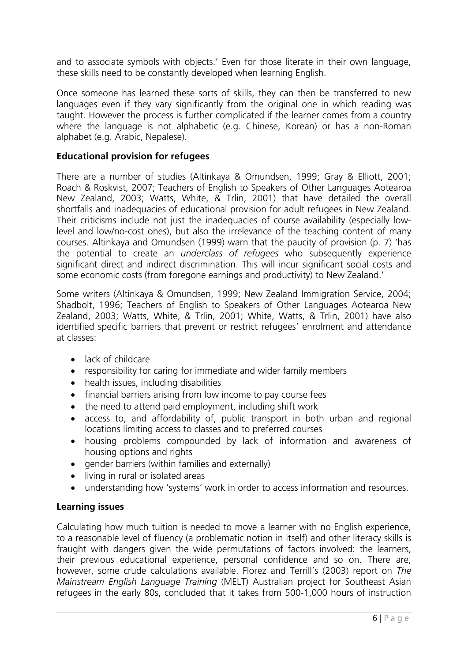and to associate symbols with objects.' Even for those literate in their own language, these skills need to be constantly developed when learning English.

Once someone has learned these sorts of skills, they can then be transferred to new languages even if they vary significantly from the original one in which reading was taught. However the process is further complicated if the learner comes from a country where the language is not alphabetic (e.g. Chinese, Korean) or has a non-Roman alphabet (e.g. Arabic, Nepalese).

#### **Educational provision for refugees**

There are a number of studies (Altinkaya & Omundsen, 1999; Gray & Elliott, 2001; Roach & Roskvist, 2007; Teachers of English to Speakers of Other Languages Aotearoa New Zealand, 2003; Watts, White, & Trlin, 2001) that have detailed the overall shortfalls and inadequacies of educational provision for adult refugees in New Zealand. Their criticisms include not just the inadequacies of course availability (especially lowlevel and low/no-cost ones), but also the irrelevance of the teaching content of many courses. Altinkaya and Omundsen (1999) warn that the paucity of provision (p. 7) 'has the potential to create an *underclass of refugees* who subsequently experience significant direct and indirect discrimination. This will incur significant social costs and some economic costs (from foregone earnings and productivity) to New Zealand.'

Some writers (Altinkaya & Omundsen, 1999; New Zealand Immigration Service, 2004; Shadbolt, 1996; Teachers of English to Speakers of Other Languages Aotearoa New Zealand, 2003; Watts, White, & Trlin, 2001; White, Watts, & Trlin, 2001) have also identified specific barriers that prevent or restrict refugees' enrolment and attendance at classes:

- lack of childcare
- responsibility for caring for immediate and wider family members
- health issues, including disabilities
- financial barriers arising from low income to pay course fees
- the need to attend paid employment, including shift work
- access to, and affordability of, public transport in both urban and regional locations limiting access to classes and to preferred courses
- housing problems compounded by lack of information and awareness of housing options and rights
- aender barriers (within families and externally)
- living in rural or isolated areas
- understanding how 'systems' work in order to access information and resources.

## **Learning issues**

Calculating how much tuition is needed to move a learner with no English experience, to a reasonable level of fluency (a problematic notion in itself) and other literacy skills is fraught with dangers given the wide permutations of factors involved: the learners, their previous educational experience, personal confidence and so on. There are, however, some crude calculations available. Florez and Terrill's (2003) report on *The Mainstream English Language Training* (MELT) Australian project for Southeast Asian refugees in the early 80s, concluded that it takes from 500-1,000 hours of instruction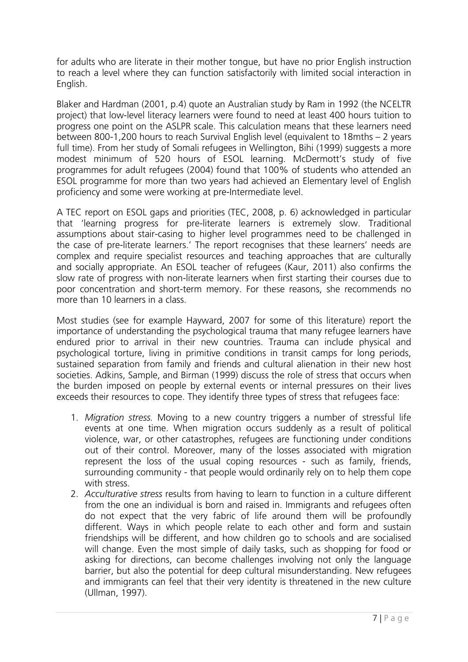for adults who are literate in their mother tongue, but have no prior English instruction to reach a level where they can function satisfactorily with limited social interaction in English.

Blaker and Hardman (2001, p.4) quote an Australian study by Ram in 1992 (the NCELTR project) that low-level literacy learners were found to need at least 400 hours tuition to progress one point on the ASLPR scale. This calculation means that these learners need between 800-1,200 hours to reach Survival English level (equivalent to 18mths – 2 years full time). From her study of Somali refugees in Wellington, Bihi (1999) suggests a more modest minimum of 520 hours of ESOL learning. McDermott's study of five programmes for adult refugees (2004) found that 100% of students who attended an ESOL programme for more than two years had achieved an Elementary level of English proficiency and some were working at pre-Intermediate level.

A TEC report on ESOL gaps and priorities (TEC, 2008, p. 6) acknowledged in particular that 'learning progress for pre-literate learners is extremely slow. Traditional assumptions about stair-casing to higher level programmes need to be challenged in the case of pre-literate learners.' The report recognises that these learners' needs are complex and require specialist resources and teaching approaches that are culturally and socially appropriate. An ESOL teacher of refugees (Kaur, 2011) also confirms the slow rate of progress with non-literate learners when first starting their courses due to poor concentration and short-term memory. For these reasons, she recommends no more than 10 learners in a class.

Most studies (see for example Hayward, 2007 for some of this literature) report the importance of understanding the psychological trauma that many refugee learners have endured prior to arrival in their new countries. Trauma can include physical and psychological torture, living in primitive conditions in transit camps for long periods, sustained separation from family and friends and cultural alienation in their new host societies. Adkins, Sample, and Birman (1999) discuss the role of stress that occurs when the burden imposed on people by external events or internal pressures on their lives exceeds their resources to cope. They identify three types of stress that refugees face:

- 1. *Migration stress.* Moving to a new country triggers a number of stressful life events at one time. When migration occurs suddenly as a result of political violence, war, or other catastrophes, refugees are functioning under conditions out of their control. Moreover, many of the losses associated with migration represent the loss of the usual coping resources - such as family, friends, surrounding community - that people would ordinarily rely on to help them cope with stress.
- 2. *Acculturative stress* results from having to learn to function in a culture different from the one an individual is born and raised in. Immigrants and refugees often do not expect that the very fabric of life around them will be profoundly different. Ways in which people relate to each other and form and sustain friendships will be different, and how children go to schools and are socialised will change. Even the most simple of daily tasks, such as shopping for food or asking for directions, can become challenges involving not only the language barrier, but also the potential for deep cultural misunderstanding. New refugees and immigrants can feel that their very identity is threatened in the new culture (Ullman, 1997).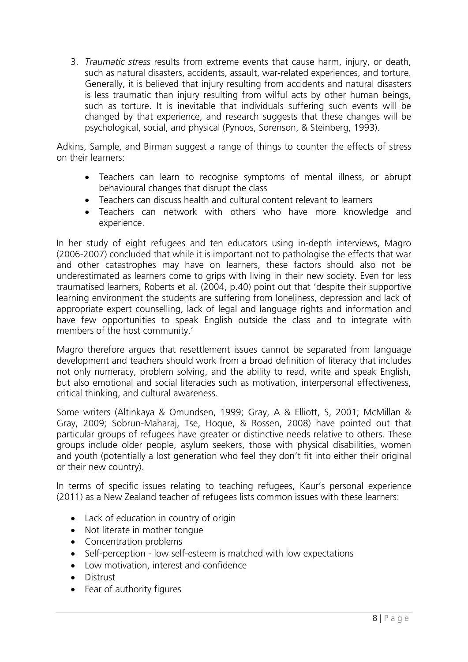3. *Traumatic stress* results from extreme events that cause harm, injury, or death, such as natural disasters, accidents, assault, war-related experiences, and torture. Generally, it is believed that injury resulting from accidents and natural disasters is less traumatic than injury resulting from wilful acts by other human beings, such as torture. It is inevitable that individuals suffering such events will be changed by that experience, and research suggests that these changes will be psychological, social, and physical (Pynoos, Sorenson, & Steinberg, 1993).

Adkins, Sample, and Birman suggest a range of things to counter the effects of stress on their learners:

- Teachers can learn to recognise symptoms of mental illness, or abrupt behavioural changes that disrupt the class
- Teachers can discuss health and cultural content relevant to learners
- Teachers can network with others who have more knowledge and experience.

In her study of eight refugees and ten educators using in-depth interviews, Magro (2006-2007) concluded that while it is important not to pathologise the effects that war and other catastrophes may have on learners, these factors should also not be underestimated as learners come to grips with living in their new society. Even for less traumatised learners, Roberts et al. (2004, p.40) point out that 'despite their supportive learning environment the students are suffering from loneliness, depression and lack of appropriate expert counselling, lack of legal and language rights and information and have few opportunities to speak English outside the class and to integrate with members of the host community.'

Magro therefore argues that resettlement issues cannot be separated from language development and teachers should work from a broad definition of literacy that includes not only numeracy, problem solving, and the ability to read, write and speak English, but also emotional and social literacies such as motivation, interpersonal effectiveness, critical thinking, and cultural awareness.

Some writers (Altinkaya & Omundsen, 1999; Gray, A & Elliott, S, 2001; McMillan & Gray, 2009; Sobrun-Maharaj, Tse, Hoque, & Rossen, 2008) have pointed out that particular groups of refugees have greater or distinctive needs relative to others. These groups include older people, asylum seekers, those with physical disabilities, women and youth (potentially a lost generation who feel they don't fit into either their original or their new country).

In terms of specific issues relating to teaching refugees, Kaur's personal experience (2011) as a New Zealand teacher of refugees lists common issues with these learners:

- Lack of education in country of origin
- Not literate in mother tonque
- Concentration problems
- Self-perception low self-esteem is matched with low expectations
- Low motivation, interest and confidence
- Distrust
- Fear of authority figures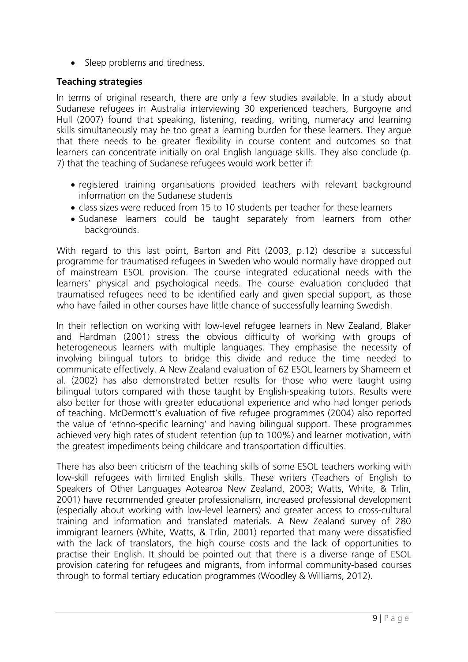• Sleep problems and tiredness.

## **Teaching strategies**

In terms of original research, there are only a few studies available. In a study about Sudanese refugees in Australia interviewing 30 experienced teachers, Burgoyne and Hull (2007) found that speaking, listening, reading, writing, numeracy and learning skills simultaneously may be too great a learning burden for these learners. They argue that there needs to be greater flexibility in course content and outcomes so that learners can concentrate initially on oral English language skills. They also conclude (p. 7) that the teaching of Sudanese refugees would work better if:

- registered training organisations provided teachers with relevant background information on the Sudanese students
- class sizes were reduced from 15 to 10 students per teacher for these learners
- Sudanese learners could be taught separately from learners from other backgrounds.

With regard to this last point, Barton and Pitt (2003, p.12) describe a successful programme for traumatised refugees in Sweden who would normally have dropped out of mainstream ESOL provision. The course integrated educational needs with the learners' physical and psychological needs. The course evaluation concluded that traumatised refugees need to be identified early and given special support, as those who have failed in other courses have little chance of successfully learning Swedish.

In their reflection on working with low-level refugee learners in New Zealand, Blaker and Hardman (2001) stress the obvious difficulty of working with groups of heterogeneous learners with multiple languages. They emphasise the necessity of involving bilingual tutors to bridge this divide and reduce the time needed to communicate effectively. A New Zealand evaluation of 62 ESOL learners by Shameem et al. (2002) has also demonstrated better results for those who were taught using bilingual tutors compared with those taught by English-speaking tutors. Results were also better for those with greater educational experience and who had longer periods of teaching. McDermott's evaluation of five refugee programmes (2004) also reported the value of 'ethno-specific learning' and having bilingual support. These programmes achieved very high rates of student retention (up to 100%) and learner motivation, with the greatest impediments being childcare and transportation difficulties.

There has also been criticism of the teaching skills of some ESOL teachers working with low-skill refugees with limited English skills. These writers (Teachers of English to Speakers of Other Languages Aotearoa New Zealand, 2003; Watts, White, & Trlin, 2001) have recommended greater professionalism, increased professional development (especially about working with low-level learners) and greater access to cross-cultural training and information and translated materials. A New Zealand survey of 280 immigrant learners (White, Watts, & Trlin, 2001) reported that many were dissatisfied with the lack of translators, the high course costs and the lack of opportunities to practise their English. It should be pointed out that there is a diverse range of ESOL provision catering for refugees and migrants, from informal community-based courses through to formal tertiary education programmes (Woodley & Williams, 2012).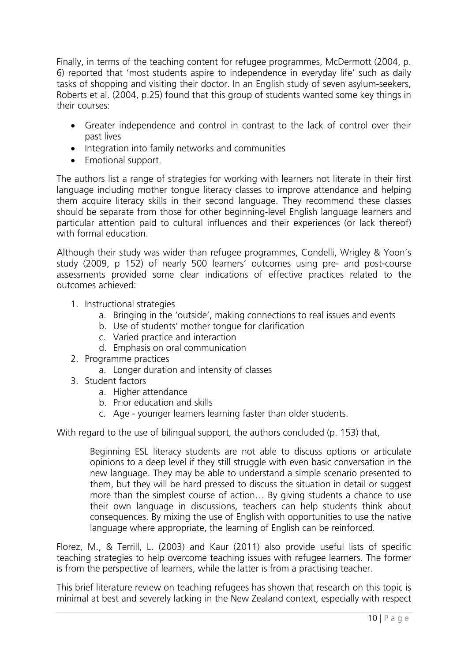Finally, in terms of the teaching content for refugee programmes, McDermott (2004, p. 6) reported that 'most students aspire to independence in everyday life' such as daily tasks of shopping and visiting their doctor. In an English study of seven asylum-seekers, Roberts et al. (2004, p.25) found that this group of students wanted some key things in their courses:

- Greater independence and control in contrast to the lack of control over their past lives
- Integration into family networks and communities
- Emotional support.

The authors list a range of strategies for working with learners not literate in their first language including mother tongue literacy classes to improve attendance and helping them acquire literacy skills in their second language. They recommend these classes should be separate from those for other beginning-level English language learners and particular attention paid to cultural influences and their experiences (or lack thereof) with formal education.

Although their study was wider than refugee programmes, Condelli, Wrigley & Yoon's study (2009, p 152) of nearly 500 learners' outcomes using pre- and post-course assessments provided some clear indications of effective practices related to the outcomes achieved:

- 1. Instructional strategies
	- a. Bringing in the 'outside', making connections to real issues and events
	- b. Use of students' mother tongue for clarification
	- c. Varied practice and interaction
	- d. Emphasis on oral communication
- 2. Programme practices
	- a. Longer duration and intensity of classes
- 3. Student factors
	- a. Higher attendance
	- b. Prior education and skills
	- c. Age younger learners learning faster than older students.

With regard to the use of bilingual support, the authors concluded (p. 153) that,

Beginning ESL literacy students are not able to discuss options or articulate opinions to a deep level if they still struggle with even basic conversation in the new language. They may be able to understand a simple scenario presented to them, but they will be hard pressed to discuss the situation in detail or suggest more than the simplest course of action… By giving students a chance to use their own language in discussions, teachers can help students think about consequences. By mixing the use of English with opportunities to use the native language where appropriate, the learning of English can be reinforced.

Florez, M., & Terrill, L. (2003) and Kaur (2011) also provide useful lists of specific teaching strategies to help overcome teaching issues with refugee learners. The former is from the perspective of learners, while the latter is from a practising teacher.

This brief literature review on teaching refugees has shown that research on this topic is minimal at best and severely lacking in the New Zealand context, especially with respect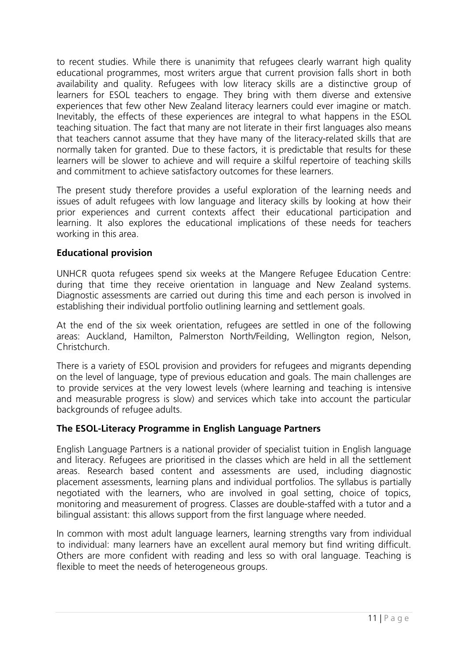to recent studies. While there is unanimity that refugees clearly warrant high quality educational programmes, most writers argue that current provision falls short in both availability and quality. Refugees with low literacy skills are a distinctive group of learners for ESOL teachers to engage. They bring with them diverse and extensive experiences that few other New Zealand literacy learners could ever imagine or match. Inevitably, the effects of these experiences are integral to what happens in the ESOL teaching situation. The fact that many are not literate in their first languages also means that teachers cannot assume that they have many of the literacy-related skills that are normally taken for granted. Due to these factors, it is predictable that results for these learners will be slower to achieve and will require a skilful repertoire of teaching skills and commitment to achieve satisfactory outcomes for these learners.

The present study therefore provides a useful exploration of the learning needs and issues of adult refugees with low language and literacy skills by looking at how their prior experiences and current contexts affect their educational participation and learning. It also explores the educational implications of these needs for teachers working in this area.

## **Educational provision**

UNHCR quota refugees spend six weeks at the Mangere Refugee Education Centre: during that time they receive orientation in language and New Zealand systems. Diagnostic assessments are carried out during this time and each person is involved in establishing their individual portfolio outlining learning and settlement goals.

At the end of the six week orientation, refugees are settled in one of the following areas: Auckland, Hamilton, Palmerston North/Feilding, Wellington region, Nelson, Christchurch.

There is a variety of ESOL provision and providers for refugees and migrants depending on the level of language, type of previous education and goals. The main challenges are to provide services at the very lowest levels (where learning and teaching is intensive and measurable progress is slow) and services which take into account the particular backgrounds of refugee adults.

## **The ESOL-Literacy Programme in English Language Partners**

English Language Partners is a national provider of specialist tuition in English language and literacy. Refugees are prioritised in the classes which are held in all the settlement areas. Research based content and assessments are used, including diagnostic placement assessments, learning plans and individual portfolios. The syllabus is partially negotiated with the learners, who are involved in goal setting, choice of topics, monitoring and measurement of progress. Classes are double-staffed with a tutor and a bilingual assistant: this allows support from the first language where needed.

In common with most adult language learners, learning strengths vary from individual to individual: many learners have an excellent aural memory but find writing difficult. Others are more confident with reading and less so with oral language. Teaching is flexible to meet the needs of heterogeneous groups.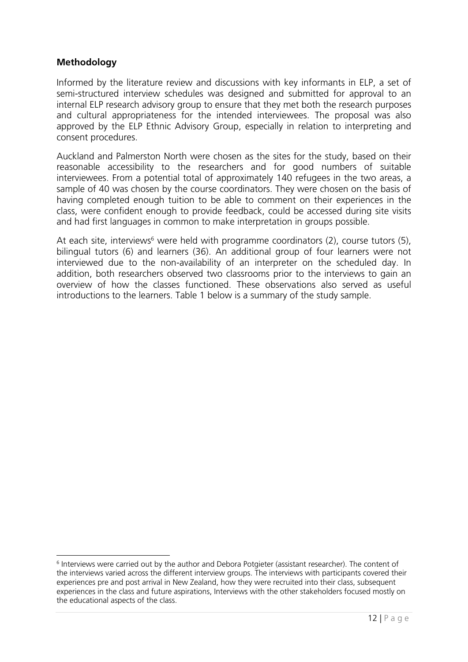## **Methodology**

Informed by the literature review and discussions with key informants in ELP, a set of semi-structured interview schedules was designed and submitted for approval to an internal ELP research advisory group to ensure that they met both the research purposes and cultural appropriateness for the intended interviewees. The proposal was also approved by the ELP Ethnic Advisory Group, especially in relation to interpreting and consent procedures.

Auckland and Palmerston North were chosen as the sites for the study, based on their reasonable accessibility to the researchers and for good numbers of suitable interviewees. From a potential total of approximately 140 refugees in the two areas, a sample of 40 was chosen by the course coordinators. They were chosen on the basis of having completed enough tuition to be able to comment on their experiences in the class, were confident enough to provide feedback, could be accessed during site visits and had first languages in common to make interpretation in groups possible.

At each site, interviews<sup>6</sup> were held with programme coordinators (2), course tutors (5), bilingual tutors (6) and learners (36). An additional group of four learners were not interviewed due to the non-availability of an interpreter on the scheduled day. In addition, both researchers observed two classrooms prior to the interviews to gain an overview of how the classes functioned. These observations also served as useful introductions to the learners. Table 1 below is a summary of the study sample.

 <sup>6</sup> Interviews were carried out by the author and Debora Potgieter (assistant researcher). The content of the interviews varied across the different interview groups. The interviews with participants covered their experiences pre and post arrival in New Zealand, how they were recruited into their class, subsequent experiences in the class and future aspirations, Interviews with the other stakeholders focused mostly on the educational aspects of the class.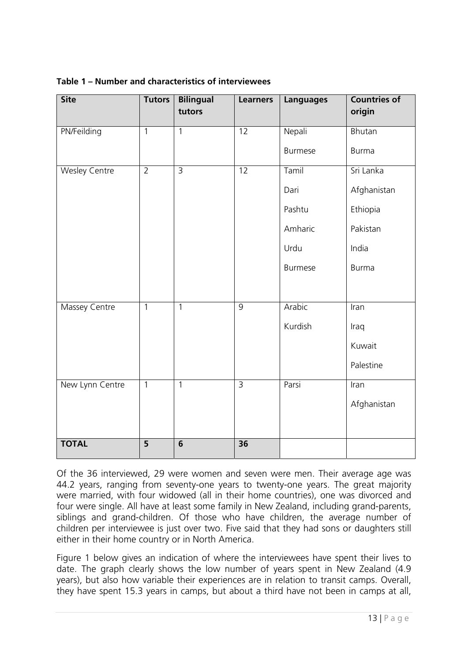| <b>Site</b>          | <b>Tutors</b>  | <b>Bilingual</b><br>tutors | <b>Learners</b> | <b>Languages</b> | <b>Countries of</b><br>origin |
|----------------------|----------------|----------------------------|-----------------|------------------|-------------------------------|
| PN/Feilding          | $\overline{1}$ | $\overline{1}$             | $\overline{12}$ | Nepali           | Bhutan                        |
|                      |                |                            |                 | <b>Burmese</b>   | <b>Burma</b>                  |
| <b>Wesley Centre</b> | $\overline{2}$ | $\overline{3}$             | 12              | Tamil            | Sri Lanka                     |
|                      |                |                            |                 | Dari             | Afghanistan                   |
|                      |                |                            |                 | Pashtu           | Ethiopia                      |
|                      |                |                            |                 | Amharic          | Pakistan                      |
|                      |                |                            |                 | Urdu             | India                         |
|                      |                |                            |                 | <b>Burmese</b>   | <b>Burma</b>                  |
|                      |                |                            |                 |                  |                               |
| <b>Massey Centre</b> | $\overline{1}$ | $\overline{1}$             | $\overline{9}$  | Arabic           | Iran                          |
|                      |                |                            |                 | Kurdish          | Iraq                          |
|                      |                |                            |                 |                  | Kuwait                        |
|                      |                |                            |                 |                  | Palestine                     |
| New Lynn Centre      | $\overline{1}$ | $\overline{1}$             | $\overline{3}$  | Parsi            | <b>Tran</b>                   |
|                      |                |                            |                 |                  | Afghanistan                   |
|                      |                |                            |                 |                  |                               |
| <b>TOTAL</b>         | $\overline{5}$ | $\overline{6}$             | $\overline{36}$ |                  |                               |

|  | Table 1 – Number and characteristics of interviewees |  |
|--|------------------------------------------------------|--|
|--|------------------------------------------------------|--|

Of the 36 interviewed, 29 were women and seven were men. Their average age was 44.2 years, ranging from seventy-one years to twenty-one years. The great majority were married, with four widowed (all in their home countries), one was divorced and four were single. All have at least some family in New Zealand, including grand-parents, siblings and grand-children. Of those who have children, the average number of children per interviewee is just over two. Five said that they had sons or daughters still either in their home country or in North America.

Figure 1 below gives an indication of where the interviewees have spent their lives to date. The graph clearly shows the low number of years spent in New Zealand (4.9 years), but also how variable their experiences are in relation to transit camps. Overall, they have spent 15.3 years in camps, but about a third have not been in camps at all,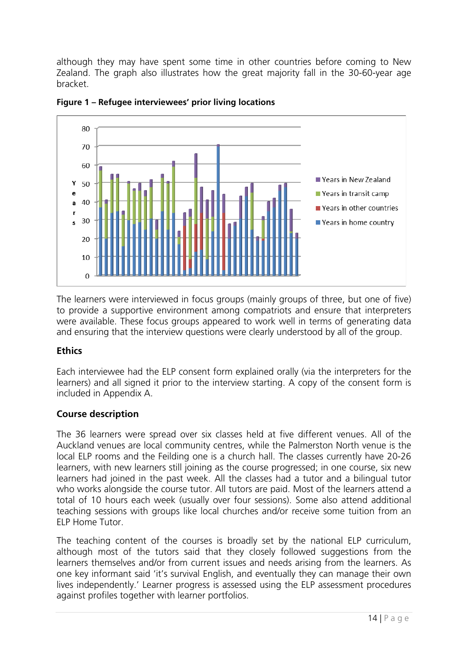although they may have spent some time in other countries before coming to New Zealand. The graph also illustrates how the great majority fall in the 30-60-year age bracket.



**Figure 1 – Refugee interviewees' prior living locations** 

The learners were interviewed in focus groups (mainly groups of three, but one of five) to provide a supportive environment among compatriots and ensure that interpreters were available. These focus groups appeared to work well in terms of generating data and ensuring that the interview questions were clearly understood by all of the group.

## **Ethics**

Each interviewee had the ELP consent form explained orally (via the interpreters for the learners) and all signed it prior to the interview starting. A copy of the consent form is included in Appendix A.

## **Course description**

The 36 learners were spread over six classes held at five different venues. All of the Auckland venues are local community centres, while the Palmerston North venue is the local ELP rooms and the Feilding one is a church hall. The classes currently have 20-26 learners, with new learners still joining as the course progressed; in one course, six new learners had joined in the past week. All the classes had a tutor and a bilingual tutor who works alongside the course tutor. All tutors are paid. Most of the learners attend a total of 10 hours each week (usually over four sessions). Some also attend additional teaching sessions with groups like local churches and/or receive some tuition from an ELP Home Tutor.

The teaching content of the courses is broadly set by the national ELP curriculum, although most of the tutors said that they closely followed suggestions from the learners themselves and/or from current issues and needs arising from the learners. As one key informant said 'it's survival English, and eventually they can manage their own lives independently.' Learner progress is assessed using the ELP assessment procedures against profiles together with learner portfolios.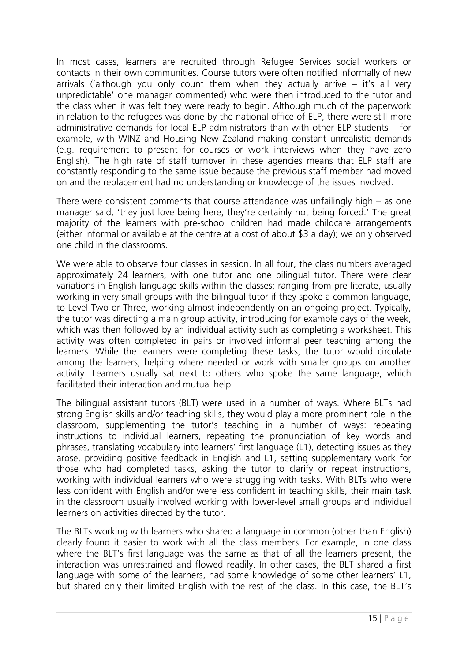In most cases, learners are recruited through Refugee Services social workers or contacts in their own communities. Course tutors were often notified informally of new arrivals ('although you only count them when they actually arrive – it's all very unpredictable' one manager commented) who were then introduced to the tutor and the class when it was felt they were ready to begin. Although much of the paperwork in relation to the refugees was done by the national office of ELP, there were still more administrative demands for local ELP administrators than with other ELP students – for example, with WINZ and Housing New Zealand making constant unrealistic demands (e.g. requirement to present for courses or work interviews when they have zero English). The high rate of staff turnover in these agencies means that ELP staff are constantly responding to the same issue because the previous staff member had moved on and the replacement had no understanding or knowledge of the issues involved.

There were consistent comments that course attendance was unfailingly high – as one manager said, 'they just love being here, they're certainly not being forced.' The great majority of the learners with pre-school children had made childcare arrangements (either informal or available at the centre at a cost of about \$3 a day); we only observed one child in the classrooms.

We were able to observe four classes in session. In all four, the class numbers averaged approximately 24 learners, with one tutor and one bilingual tutor. There were clear variations in English language skills within the classes; ranging from pre-literate, usually working in very small groups with the bilingual tutor if they spoke a common language, to Level Two or Three, working almost independently on an ongoing project. Typically, the tutor was directing a main group activity, introducing for example days of the week, which was then followed by an individual activity such as completing a worksheet. This activity was often completed in pairs or involved informal peer teaching among the learners. While the learners were completing these tasks, the tutor would circulate among the learners, helping where needed or work with smaller groups on another activity. Learners usually sat next to others who spoke the same language, which facilitated their interaction and mutual help.

The bilingual assistant tutors (BLT) were used in a number of ways. Where BLTs had strong English skills and/or teaching skills, they would play a more prominent role in the classroom, supplementing the tutor's teaching in a number of ways: repeating instructions to individual learners, repeating the pronunciation of key words and phrases, translating vocabulary into learners' first language (L1), detecting issues as they arose, providing positive feedback in English and L1, setting supplementary work for those who had completed tasks, asking the tutor to clarify or repeat instructions, working with individual learners who were struggling with tasks. With BLTs who were less confident with English and/or were less confident in teaching skills, their main task in the classroom usually involved working with lower-level small groups and individual learners on activities directed by the tutor.

The BLTs working with learners who shared a language in common (other than English) clearly found it easier to work with all the class members. For example, in one class where the BLT's first language was the same as that of all the learners present, the interaction was unrestrained and flowed readily. In other cases, the BLT shared a first language with some of the learners, had some knowledge of some other learners' L1, but shared only their limited English with the rest of the class. In this case, the BLT's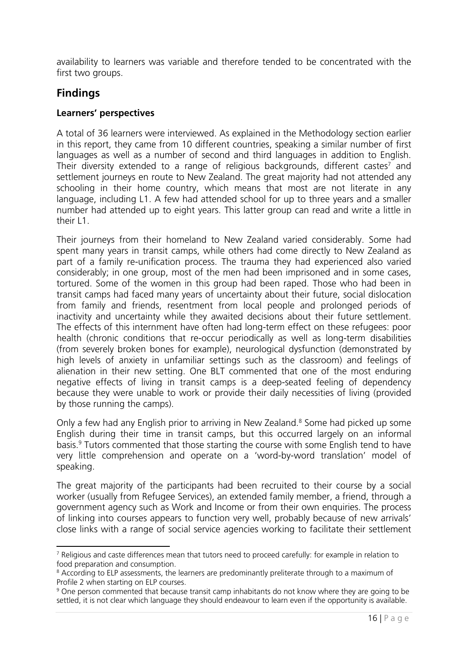availability to learners was variable and therefore tended to be concentrated with the first two groups.

## **Findings**

## **Learners' perspectives**

A total of 36 learners were interviewed. As explained in the Methodology section earlier in this report, they came from 10 different countries, speaking a similar number of first languages as well as a number of second and third languages in addition to English. Their diversity extended to a range of religious backgrounds, different castes<sup>7</sup> and settlement journeys en route to New Zealand. The great majority had not attended any schooling in their home country, which means that most are not literate in any language, including L1. A few had attended school for up to three years and a smaller number had attended up to eight years. This latter group can read and write a little in their  $\overline{\phantom{a}}$ 1.

Their journeys from their homeland to New Zealand varied considerably. Some had spent many years in transit camps, while others had come directly to New Zealand as part of a family re-unification process. The trauma they had experienced also varied considerably; in one group, most of the men had been imprisoned and in some cases, tortured. Some of the women in this group had been raped. Those who had been in transit camps had faced many years of uncertainty about their future, social dislocation from family and friends, resentment from local people and prolonged periods of inactivity and uncertainty while they awaited decisions about their future settlement. The effects of this internment have often had long-term effect on these refugees: poor health (chronic conditions that re-occur periodically as well as long-term disabilities (from severely broken bones for example), neurological dysfunction (demonstrated by high levels of anxiety in unfamiliar settings such as the classroom) and feelings of alienation in their new setting. One BLT commented that one of the most enduring negative effects of living in transit camps is a deep-seated feeling of dependency because they were unable to work or provide their daily necessities of living (provided by those running the camps).

Only a few had any English prior to arriving in New Zealand.<sup>8</sup> Some had picked up some English during their time in transit camps, but this occurred largely on an informal basis.<sup>9</sup> Tutors commented that those starting the course with some English tend to have very little comprehension and operate on a 'word-by-word translation' model of speaking.

The great majority of the participants had been recruited to their course by a social worker (usually from Refugee Services), an extended family member, a friend, through a government agency such as Work and Income or from their own enquiries. The process of linking into courses appears to function very well, probably because of new arrivals' close links with a range of social service agencies working to facilitate their settlement

<sup>&</sup>lt;sup>7</sup> Religious and caste differences mean that tutors need to proceed carefully: for example in relation to food preparation and consumption.

<sup>&</sup>lt;sup>8</sup> According to ELP assessments, the learners are predominantly preliterate through to a maximum of Profile 2 when starting on ELP courses.

<sup>&</sup>lt;sup>9</sup> One person commented that because transit camp inhabitants do not know where they are going to be settled, it is not clear which language they should endeavour to learn even if the opportunity is available.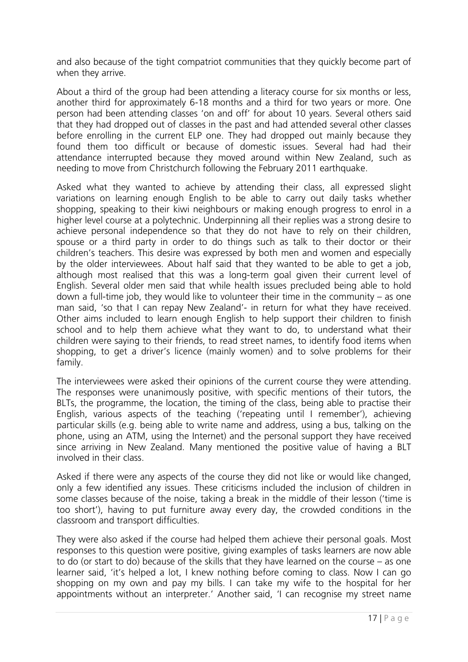and also because of the tight compatriot communities that they quickly become part of when they arrive.

About a third of the group had been attending a literacy course for six months or less, another third for approximately 6-18 months and a third for two years or more. One person had been attending classes 'on and off' for about 10 years. Several others said that they had dropped out of classes in the past and had attended several other classes before enrolling in the current ELP one. They had dropped out mainly because they found them too difficult or because of domestic issues. Several had had their attendance interrupted because they moved around within New Zealand, such as needing to move from Christchurch following the February 2011 earthquake.

Asked what they wanted to achieve by attending their class, all expressed slight variations on learning enough English to be able to carry out daily tasks whether shopping, speaking to their kiwi neighbours or making enough progress to enrol in a higher level course at a polytechnic. Underpinning all their replies was a strong desire to achieve personal independence so that they do not have to rely on their children, spouse or a third party in order to do things such as talk to their doctor or their children's teachers. This desire was expressed by both men and women and especially by the older interviewees. About half said that they wanted to be able to get a job, although most realised that this was a long-term goal given their current level of English. Several older men said that while health issues precluded being able to hold down a full-time job, they would like to volunteer their time in the community – as one man said, 'so that I can repay New Zealand'- in return for what they have received. Other aims included to learn enough English to help support their children to finish school and to help them achieve what they want to do, to understand what their children were saying to their friends, to read street names, to identify food items when shopping, to get a driver's licence (mainly women) and to solve problems for their family.

The interviewees were asked their opinions of the current course they were attending. The responses were unanimously positive, with specific mentions of their tutors, the BLTs, the programme, the location, the timing of the class, being able to practise their English, various aspects of the teaching ('repeating until I remember'), achieving particular skills (e.g. being able to write name and address, using a bus, talking on the phone, using an ATM, using the Internet) and the personal support they have received since arriving in New Zealand. Many mentioned the positive value of having a BLT involved in their class.

Asked if there were any aspects of the course they did not like or would like changed, only a few identified any issues. These criticisms included the inclusion of children in some classes because of the noise, taking a break in the middle of their lesson ('time is too short'), having to put furniture away every day, the crowded conditions in the classroom and transport difficulties.

They were also asked if the course had helped them achieve their personal goals. Most responses to this question were positive, giving examples of tasks learners are now able to do (or start to do) because of the skills that they have learned on the course – as one learner said, 'it's helped a lot, I knew nothing before coming to class. Now I can go shopping on my own and pay my bills. I can take my wife to the hospital for her appointments without an interpreter.' Another said, 'I can recognise my street name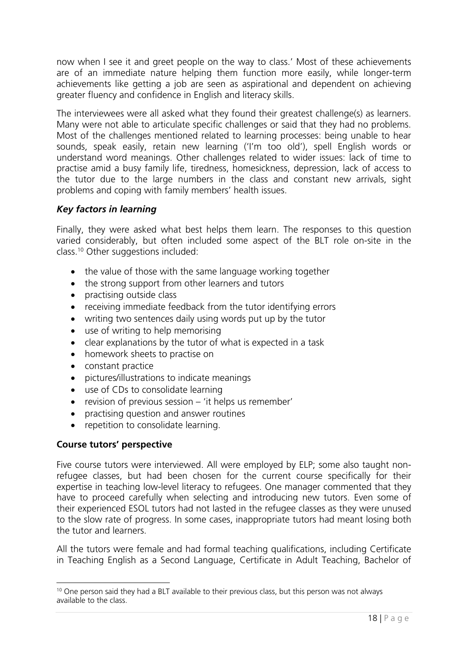now when I see it and greet people on the way to class.' Most of these achievements are of an immediate nature helping them function more easily, while longer-term achievements like getting a job are seen as aspirational and dependent on achieving greater fluency and confidence in English and literacy skills.

The interviewees were all asked what they found their greatest challenge(s) as learners. Many were not able to articulate specific challenges or said that they had no problems. Most of the challenges mentioned related to learning processes: being unable to hear sounds, speak easily, retain new learning ('I'm too old'), spell English words or understand word meanings. Other challenges related to wider issues: lack of time to practise amid a busy family life, tiredness, homesickness, depression, lack of access to the tutor due to the large numbers in the class and constant new arrivals, sight problems and coping with family members' health issues.

## *Key factors in learning*

Finally, they were asked what best helps them learn. The responses to this question varied considerably, but often included some aspect of the BLT role on-site in the class.10 Other suggestions included:

- the value of those with the same language working together
- the strong support from other learners and tutors
- practising outside class
- receiving immediate feedback from the tutor identifying errors
- writing two sentences daily using words put up by the tutor
- use of writing to help memorising
- clear explanations by the tutor of what is expected in a task
- homework sheets to practise on
- constant practice
- pictures/illustrations to indicate meanings
- use of CDs to consolidate learning
- revision of previous session 'it helps us remember'
- practising question and answer routines
- repetition to consolidate learning.

#### **Course tutors' perspective**

Five course tutors were interviewed. All were employed by ELP; some also taught nonrefugee classes, but had been chosen for the current course specifically for their expertise in teaching low-level literacy to refugees. One manager commented that they have to proceed carefully when selecting and introducing new tutors. Even some of their experienced ESOL tutors had not lasted in the refugee classes as they were unused to the slow rate of progress. In some cases, inappropriate tutors had meant losing both the tutor and learners.

All the tutors were female and had formal teaching qualifications, including Certificate in Teaching English as a Second Language, Certificate in Adult Teaching, Bachelor of

 <sup>10</sup> One person said they had a BLT available to their previous class, but this person was not always available to the class.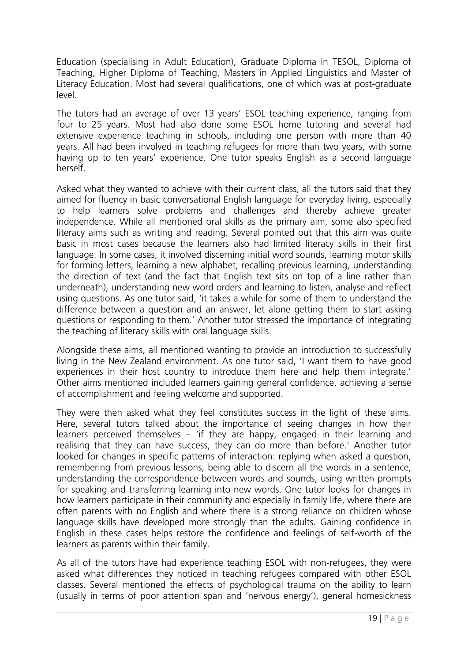Education (specialising in Adult Education), Graduate Diploma in TESOL, Diploma of Teaching, Higher Diploma of Teaching, Masters in Applied Linguistics and Master of Literacy Education. Most had several qualifications, one of which was at post-graduate level.

The tutors had an average of over 13 years' ESOL teaching experience, ranging from four to 25 years. Most had also done some ESOL home tutoring and several had extensive experience teaching in schools, including one person with more than 40 years. All had been involved in teaching refugees for more than two years, with some having up to ten years' experience. One tutor speaks English as a second language herself.

Asked what they wanted to achieve with their current class, all the tutors said that they aimed for fluency in basic conversational English language for everyday living, especially to help learners solve problems and challenges and thereby achieve greater independence. While all mentioned oral skills as the primary aim, some also specified literacy aims such as writing and reading. Several pointed out that this aim was quite basic in most cases because the learners also had limited literacy skills in their first language. In some cases, it involved discerning initial word sounds, learning motor skills for forming letters, learning a new alphabet, recalling previous learning, understanding the direction of text (and the fact that English text sits on top of a line rather than underneath), understanding new word orders and learning to listen, analyse and reflect using questions. As one tutor said, 'it takes a while for some of them to understand the difference between a question and an answer, let alone getting them to start asking questions or responding to them.' Another tutor stressed the importance of integrating the teaching of literacy skills with oral language skills.

Alongside these aims, all mentioned wanting to provide an introduction to successfully living in the New Zealand environment. As one tutor said, 'I want them to have good experiences in their host country to introduce them here and help them integrate.' Other aims mentioned included learners gaining general confidence, achieving a sense of accomplishment and feeling welcome and supported.

They were then asked what they feel constitutes success in the light of these aims. Here, several tutors talked about the importance of seeing changes in how their learners perceived themselves – 'if they are happy, engaged in their learning and realising that they can have success, they can do more than before.' Another tutor looked for changes in specific patterns of interaction: replying when asked a question, remembering from previous lessons, being able to discern all the words in a sentence, understanding the correspondence between words and sounds, using written prompts for speaking and transferring learning into new words. One tutor looks for changes in how learners participate in their community and especially in family life, where there are often parents with no English and where there is a strong reliance on children whose language skills have developed more strongly than the adults. Gaining confidence in English in these cases helps restore the confidence and feelings of self-worth of the learners as parents within their family.

As all of the tutors have had experience teaching ESOL with non-refugees, they were asked what differences they noticed in teaching refugees compared with other ESOL classes. Several mentioned the effects of psychological trauma on the ability to learn (usually in terms of poor attention span and 'nervous energy'), general homesickness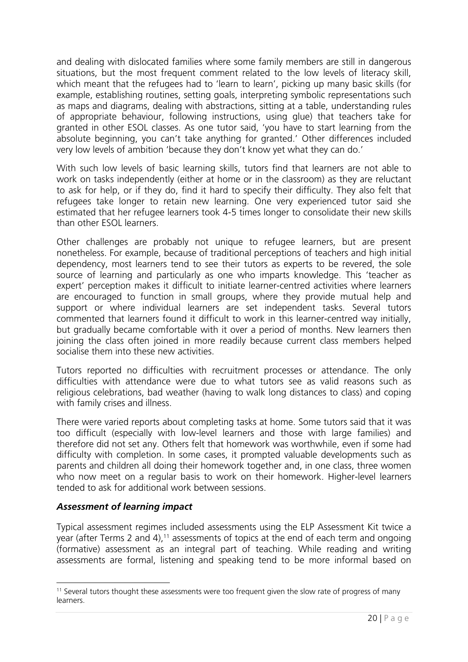and dealing with dislocated families where some family members are still in dangerous situations, but the most frequent comment related to the low levels of literacy skill, which meant that the refugees had to 'learn to learn', picking up many basic skills (for example, establishing routines, setting goals, interpreting symbolic representations such as maps and diagrams, dealing with abstractions, sitting at a table, understanding rules of appropriate behaviour, following instructions, using glue) that teachers take for granted in other ESOL classes. As one tutor said, 'you have to start learning from the absolute beginning, you can't take anything for granted.' Other differences included very low levels of ambition 'because they don't know yet what they can do.'

With such low levels of basic learning skills, tutors find that learners are not able to work on tasks independently (either at home or in the classroom) as they are reluctant to ask for help, or if they do, find it hard to specify their difficulty. They also felt that refugees take longer to retain new learning. One very experienced tutor said she estimated that her refugee learners took 4-5 times longer to consolidate their new skills than other ESOL learners.

Other challenges are probably not unique to refugee learners, but are present nonetheless. For example, because of traditional perceptions of teachers and high initial dependency, most learners tend to see their tutors as experts to be revered, the sole source of learning and particularly as one who imparts knowledge. This 'teacher as expert' perception makes it difficult to initiate learner-centred activities where learners are encouraged to function in small groups, where they provide mutual help and support or where individual learners are set independent tasks. Several tutors commented that learners found it difficult to work in this learner-centred way initially, but gradually became comfortable with it over a period of months. New learners then joining the class often joined in more readily because current class members helped socialise them into these new activities.

Tutors reported no difficulties with recruitment processes or attendance. The only difficulties with attendance were due to what tutors see as valid reasons such as religious celebrations, bad weather (having to walk long distances to class) and coping with family crises and illness.

There were varied reports about completing tasks at home. Some tutors said that it was too difficult (especially with low-level learners and those with large families) and therefore did not set any. Others felt that homework was worthwhile, even if some had difficulty with completion. In some cases, it prompted valuable developments such as parents and children all doing their homework together and, in one class, three women who now meet on a regular basis to work on their homework. Higher-level learners tended to ask for additional work between sessions.

## *Assessment of learning impact*

Typical assessment regimes included assessments using the ELP Assessment Kit twice a year (after Terms 2 and 4),<sup>11</sup> assessments of topics at the end of each term and ongoing (formative) assessment as an integral part of teaching. While reading and writing assessments are formal, listening and speaking tend to be more informal based on

 <sup>11</sup> Several tutors thought these assessments were too frequent given the slow rate of progress of many learners.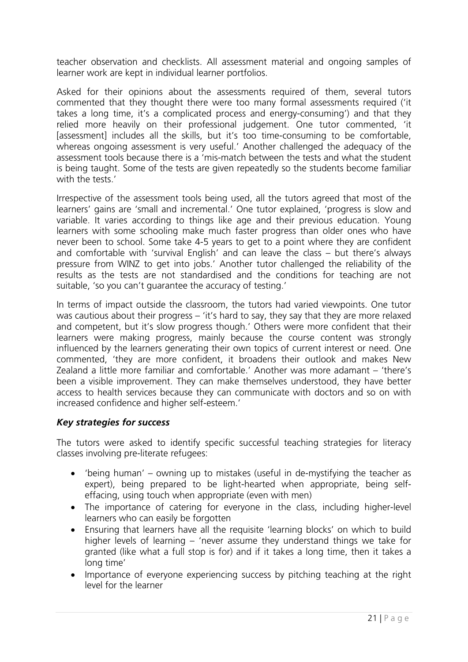teacher observation and checklists. All assessment material and ongoing samples of learner work are kept in individual learner portfolios.

Asked for their opinions about the assessments required of them, several tutors commented that they thought there were too many formal assessments required ('it takes a long time, it's a complicated process and energy-consuming') and that they relied more heavily on their professional judgement. One tutor commented, 'it [assessment] includes all the skills, but it's too time-consuming to be comfortable, whereas ongoing assessment is very useful.' Another challenged the adequacy of the assessment tools because there is a 'mis-match between the tests and what the student is being taught. Some of the tests are given repeatedly so the students become familiar with the tests.'

Irrespective of the assessment tools being used, all the tutors agreed that most of the learners' gains are 'small and incremental.' One tutor explained, 'progress is slow and variable. It varies according to things like age and their previous education. Young learners with some schooling make much faster progress than older ones who have never been to school. Some take 4-5 years to get to a point where they are confident and comfortable with 'survival English' and can leave the class – but there's always pressure from WINZ to get into jobs.' Another tutor challenged the reliability of the results as the tests are not standardised and the conditions for teaching are not suitable, 'so you can't guarantee the accuracy of testing.'

In terms of impact outside the classroom, the tutors had varied viewpoints. One tutor was cautious about their progress – 'it's hard to say, they say that they are more relaxed and competent, but it's slow progress though.' Others were more confident that their learners were making progress, mainly because the course content was strongly influenced by the learners generating their own topics of current interest or need. One commented, 'they are more confident, it broadens their outlook and makes New Zealand a little more familiar and comfortable.' Another was more adamant – 'there's been a visible improvement. They can make themselves understood, they have better access to health services because they can communicate with doctors and so on with increased confidence and higher self-esteem.'

## *Key strategies for success*

The tutors were asked to identify specific successful teaching strategies for literacy classes involving pre-literate refugees:

- 'being human' owning up to mistakes (useful in de-mystifying the teacher as expert), being prepared to be light-hearted when appropriate, being selfeffacing, using touch when appropriate (even with men)
- The importance of catering for everyone in the class, including higher-level learners who can easily be forgotten
- Ensuring that learners have all the requisite 'learning blocks' on which to build higher levels of learning – 'never assume they understand things we take for granted (like what a full stop is for) and if it takes a long time, then it takes a long time'
- Importance of everyone experiencing success by pitching teaching at the right level for the learner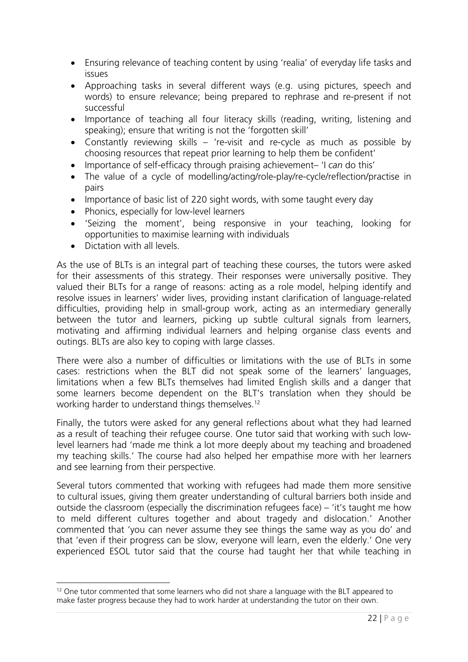- Ensuring relevance of teaching content by using 'realia' of everyday life tasks and issues
- Approaching tasks in several different ways (e.g. using pictures, speech and words) to ensure relevance; being prepared to rephrase and re-present if not successful
- Importance of teaching all four literacy skills (reading, writing, listening and speaking); ensure that writing is not the 'forgotten skill'
- Constantly reviewing skills 're-visit and re-cycle as much as possible by choosing resources that repeat prior learning to help them be confident'
- Importance of self-efficacy through praising achievement– 'I *can* do this'
- The value of a cycle of modelling/acting/role-play/re-cycle/reflection/practise in pairs
- Importance of basic list of 220 sight words, with some taught every day
- Phonics, especially for low-level learners
- 'Seizing the moment', being responsive in your teaching, looking for opportunities to maximise learning with individuals
- Dictation with all levels

As the use of BLTs is an integral part of teaching these courses, the tutors were asked for their assessments of this strategy. Their responses were universally positive. They valued their BLTs for a range of reasons: acting as a role model, helping identify and resolve issues in learners' wider lives, providing instant clarification of language-related difficulties, providing help in small-group work, acting as an intermediary generally between the tutor and learners, picking up subtle cultural signals from learners, motivating and affirming individual learners and helping organise class events and outings. BLTs are also key to coping with large classes.

There were also a number of difficulties or limitations with the use of BLTs in some cases: restrictions when the BLT did not speak some of the learners' languages, limitations when a few BLTs themselves had limited English skills and a danger that some learners become dependent on the BLT's translation when they should be working harder to understand things themselves.<sup>12</sup>

Finally, the tutors were asked for any general reflections about what they had learned as a result of teaching their refugee course. One tutor said that working with such lowlevel learners had 'made me think a lot more deeply about my teaching and broadened my teaching skills.' The course had also helped her empathise more with her learners and see learning from their perspective.

Several tutors commented that working with refugees had made them more sensitive to cultural issues, giving them greater understanding of cultural barriers both inside and outside the classroom (especially the discrimination refugees face) – 'it's taught me how to meld different cultures together and about tragedy and dislocation.' Another commented that 'you can never assume they see things the same way as you do' and that 'even if their progress can be slow, everyone will learn, even the elderly.' One very experienced ESOL tutor said that the course had taught her that while teaching in

  $12$  One tutor commented that some learners who did not share a language with the BLT appeared to make faster progress because they had to work harder at understanding the tutor on their own.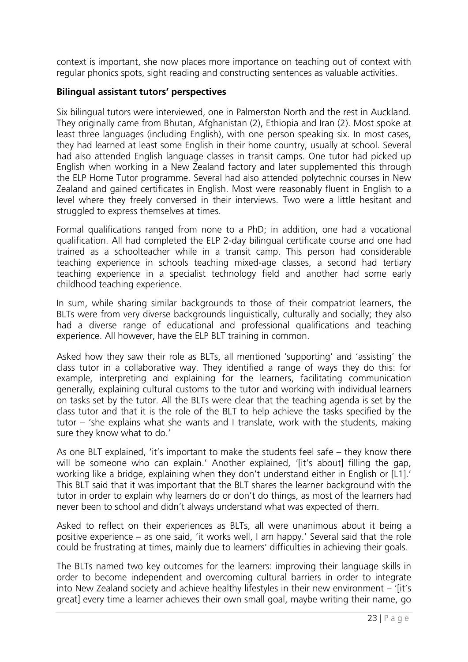context is important, she now places more importance on teaching out of context with regular phonics spots, sight reading and constructing sentences as valuable activities.

## **Bilingual assistant tutors' perspectives**

Six bilingual tutors were interviewed, one in Palmerston North and the rest in Auckland. They originally came from Bhutan, Afghanistan (2), Ethiopia and Iran (2). Most spoke at least three languages (including English), with one person speaking six. In most cases, they had learned at least some English in their home country, usually at school. Several had also attended English language classes in transit camps. One tutor had picked up English when working in a New Zealand factory and later supplemented this through the ELP Home Tutor programme. Several had also attended polytechnic courses in New Zealand and gained certificates in English. Most were reasonably fluent in English to a level where they freely conversed in their interviews. Two were a little hesitant and struggled to express themselves at times.

Formal qualifications ranged from none to a PhD; in addition, one had a vocational qualification. All had completed the ELP 2-day bilingual certificate course and one had trained as a schoolteacher while in a transit camp. This person had considerable teaching experience in schools teaching mixed-age classes, a second had tertiary teaching experience in a specialist technology field and another had some early childhood teaching experience.

In sum, while sharing similar backgrounds to those of their compatriot learners, the BLTs were from very diverse backgrounds linguistically, culturally and socially; they also had a diverse range of educational and professional qualifications and teaching experience. All however, have the ELP BLT training in common.

Asked how they saw their role as BLTs, all mentioned 'supporting' and 'assisting' the class tutor in a collaborative way. They identified a range of ways they do this: for example, interpreting and explaining for the learners, facilitating communication generally, explaining cultural customs to the tutor and working with individual learners on tasks set by the tutor. All the BLTs were clear that the teaching agenda is set by the class tutor and that it is the role of the BLT to help achieve the tasks specified by the tutor – 'she explains what she wants and I translate, work with the students, making sure they know what to do.'

As one BLT explained, 'it's important to make the students feel safe – they know there will be someone who can explain.' Another explained, '[it's about] filling the gap, working like a bridge, explaining when they don't understand either in English or [L1].' This BLT said that it was important that the BLT shares the learner background with the tutor in order to explain why learners do or don't do things, as most of the learners had never been to school and didn't always understand what was expected of them.

Asked to reflect on their experiences as BLTs, all were unanimous about it being a positive experience – as one said, 'it works well, I am happy.' Several said that the role could be frustrating at times, mainly due to learners' difficulties in achieving their goals.

The BLTs named two key outcomes for the learners: improving their language skills in order to become independent and overcoming cultural barriers in order to integrate into New Zealand society and achieve healthy lifestyles in their new environment – '[it's great] every time a learner achieves their own small goal, maybe writing their name, go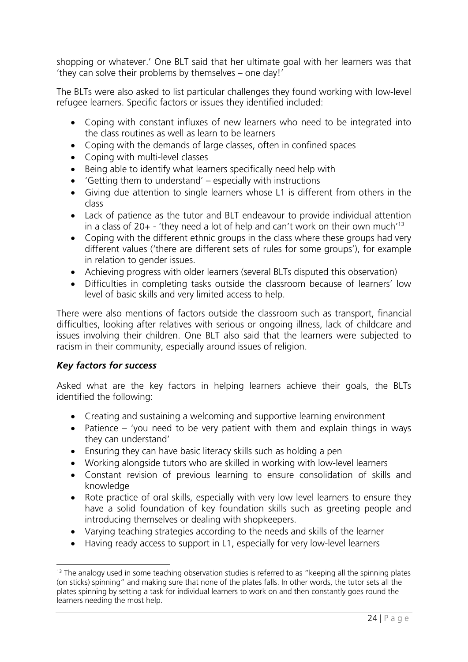shopping or whatever.' One BLT said that her ultimate goal with her learners was that 'they can solve their problems by themselves – one day!'

The BLTs were also asked to list particular challenges they found working with low-level refugee learners. Specific factors or issues they identified included:

- Coping with constant influxes of new learners who need to be integrated into the class routines as well as learn to be learners
- Coping with the demands of large classes, often in confined spaces
- Coping with multi-level classes
- Being able to identify what learners specifically need help with
- 'Getting them to understand' especially with instructions
- Giving due attention to single learners whose L1 is different from others in the class
- Lack of patience as the tutor and BLT endeavour to provide individual attention in a class of  $20+$  - 'they need a lot of help and can't work on their own much'<sup>13</sup>
- Coping with the different ethnic groups in the class where these groups had very different values ('there are different sets of rules for some groups'), for example in relation to gender issues.
- Achieving progress with older learners (several BLTs disputed this observation)
- Difficulties in completing tasks outside the classroom because of learners' low level of basic skills and very limited access to help.

There were also mentions of factors outside the classroom such as transport, financial difficulties, looking after relatives with serious or ongoing illness, lack of childcare and issues involving their children. One BLT also said that the learners were subjected to racism in their community, especially around issues of religion.

## *Key factors for success*

Asked what are the key factors in helping learners achieve their goals, the BLTs identified the following:

- Creating and sustaining a welcoming and supportive learning environment
- Patience 'you need to be very patient with them and explain things in ways they can understand'
- Ensuring they can have basic literacy skills such as holding a pen
- Working alongside tutors who are skilled in working with low-level learners
- Constant revision of previous learning to ensure consolidation of skills and knowledge
- Rote practice of oral skills, especially with very low level learners to ensure they have a solid foundation of key foundation skills such as greeting people and introducing themselves or dealing with shopkeepers.
- Varying teaching strategies according to the needs and skills of the learner
- Having ready access to support in L1, especially for very low-level learners

  $13$  The analogy used in some teaching observation studies is referred to as "keeping all the spinning plates (on sticks) spinning" and making sure that none of the plates falls. In other words, the tutor sets all the plates spinning by setting a task for individual learners to work on and then constantly goes round the learners needing the most help.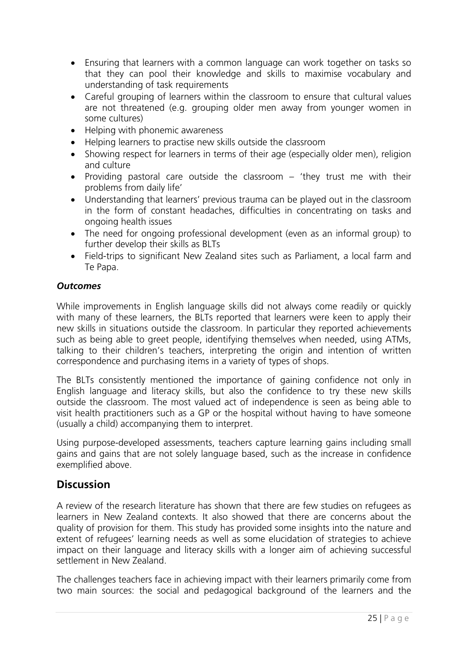- Ensuring that learners with a common language can work together on tasks so that they can pool their knowledge and skills to maximise vocabulary and understanding of task requirements
- Careful grouping of learners within the classroom to ensure that cultural values are not threatened (e.g. grouping older men away from younger women in some cultures)
- Helping with phonemic awareness
- Helping learners to practise new skills outside the classroom
- Showing respect for learners in terms of their age (especially older men), religion and culture
- Providing pastoral care outside the classroom  $-$  'they trust me with their problems from daily life'
- Understanding that learners' previous trauma can be played out in the classroom in the form of constant headaches, difficulties in concentrating on tasks and ongoing health issues
- The need for ongoing professional development (even as an informal group) to further develop their skills as BLTs
- Field-trips to significant New Zealand sites such as Parliament, a local farm and Te Papa.

## *Outcomes*

While improvements in English language skills did not always come readily or quickly with many of these learners, the BLTs reported that learners were keen to apply their new skills in situations outside the classroom. In particular they reported achievements such as being able to greet people, identifying themselves when needed, using ATMs, talking to their children's teachers, interpreting the origin and intention of written correspondence and purchasing items in a variety of types of shops.

The BLTs consistently mentioned the importance of gaining confidence not only in English language and literacy skills, but also the confidence to try these new skills outside the classroom. The most valued act of independence is seen as being able to visit health practitioners such as a GP or the hospital without having to have someone (usually a child) accompanying them to interpret.

Using purpose-developed assessments, teachers capture learning gains including small gains and gains that are not solely language based, such as the increase in confidence exemplified above.

## **Discussion**

A review of the research literature has shown that there are few studies on refugees as learners in New Zealand contexts. It also showed that there are concerns about the quality of provision for them. This study has provided some insights into the nature and extent of refugees' learning needs as well as some elucidation of strategies to achieve impact on their language and literacy skills with a longer aim of achieving successful settlement in New Zealand.

The challenges teachers face in achieving impact with their learners primarily come from two main sources: the social and pedagogical background of the learners and the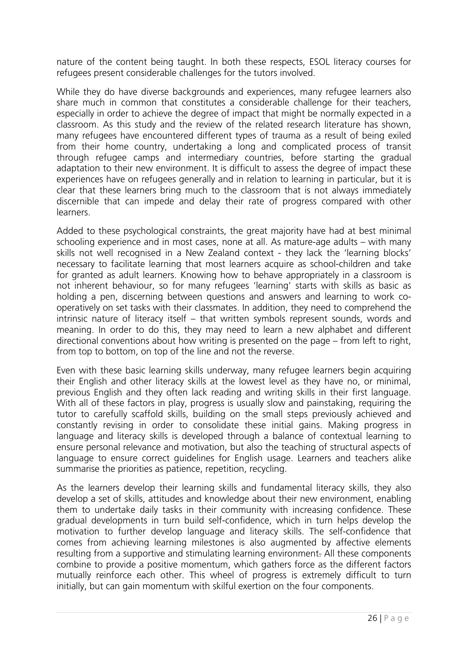nature of the content being taught. In both these respects, ESOL literacy courses for refugees present considerable challenges for the tutors involved.

While they do have diverse backgrounds and experiences, many refugee learners also share much in common that constitutes a considerable challenge for their teachers, especially in order to achieve the degree of impact that might be normally expected in a classroom. As this study and the review of the related research literature has shown, many refugees have encountered different types of trauma as a result of being exiled from their home country, undertaking a long and complicated process of transit through refugee camps and intermediary countries, before starting the gradual adaptation to their new environment. It is difficult to assess the degree of impact these experiences have on refugees generally and in relation to learning in particular, but it is clear that these learners bring much to the classroom that is not always immediately discernible that can impede and delay their rate of progress compared with other learners.

Added to these psychological constraints, the great majority have had at best minimal schooling experience and in most cases, none at all. As mature-age adults – with many skills not well recognised in a New Zealand context - they lack the 'learning blocks' necessary to facilitate learning that most learners acquire as school-children and take for granted as adult learners. Knowing how to behave appropriately in a classroom is not inherent behaviour, so for many refugees 'learning' starts with skills as basic as holding a pen, discerning between questions and answers and learning to work cooperatively on set tasks with their classmates. In addition, they need to comprehend the intrinsic nature of literacy itself – that written symbols represent sounds, words and meaning. In order to do this, they may need to learn a new alphabet and different directional conventions about how writing is presented on the page – from left to right, from top to bottom, on top of the line and not the reverse.

Even with these basic learning skills underway, many refugee learners begin acquiring their English and other literacy skills at the lowest level as they have no, or minimal, previous English and they often lack reading and writing skills in their first language. With all of these factors in play, progress is usually slow and painstaking, requiring the tutor to carefully scaffold skills, building on the small steps previously achieved and constantly revising in order to consolidate these initial gains. Making progress in language and literacy skills is developed through a balance of contextual learning to ensure personal relevance and motivation, but also the teaching of structural aspects of language to ensure correct guidelines for English usage. Learners and teachers alike summarise the priorities as patience, repetition, recycling.

As the learners develop their learning skills and fundamental literacy skills, they also develop a set of skills, attitudes and knowledge about their new environment, enabling them to undertake daily tasks in their community with increasing confidence. These gradual developments in turn build self-confidence, which in turn helps develop the motivation to further develop language and literacy skills. The self-confidence that comes from achieving learning milestones is also augmented by affective elements resulting from a supportive and stimulating learning environment. All these components combine to provide a positive momentum, which gathers force as the different factors mutually reinforce each other. This wheel of progress is extremely difficult to turn initially, but can gain momentum with skilful exertion on the four components.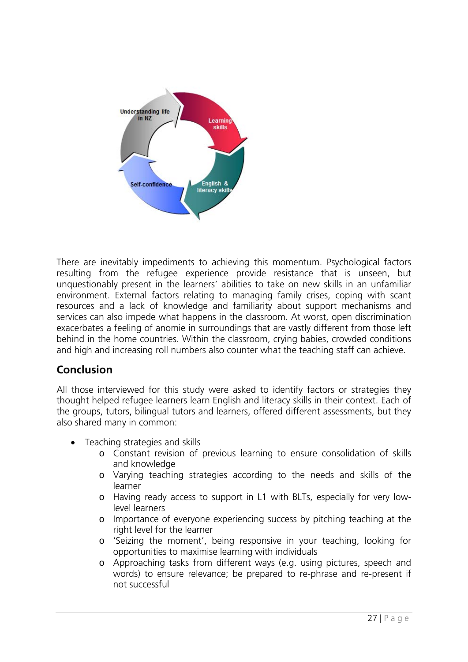

There are inevitably impediments to achieving this momentum. Psychological factors resulting from the refugee experience provide resistance that is unseen, but unquestionably present in the learners' abilities to take on new skills in an unfamiliar environment. External factors relating to managing family crises, coping with scant resources and a lack of knowledge and familiarity about support mechanisms and services can also impede what happens in the classroom. At worst, open discrimination exacerbates a feeling of anomie in surroundings that are vastly different from those left behind in the home countries. Within the classroom, crying babies, crowded conditions and high and increasing roll numbers also counter what the teaching staff can achieve.

## **Conclusion**

All those interviewed for this study were asked to identify factors or strategies they thought helped refugee learners learn English and literacy skills in their context. Each of the groups, tutors, bilingual tutors and learners, offered different assessments, but they also shared many in common:

- Teaching strategies and skills
	- o Constant revision of previous learning to ensure consolidation of skills and knowledge
	- o Varying teaching strategies according to the needs and skills of the learner
	- o Having ready access to support in L1 with BLTs, especially for very lowlevel learners
	- o Importance of everyone experiencing success by pitching teaching at the right level for the learner
	- o 'Seizing the moment', being responsive in your teaching, looking for opportunities to maximise learning with individuals
	- o Approaching tasks from different ways (e.g. using pictures, speech and words) to ensure relevance; be prepared to re-phrase and re-present if not successful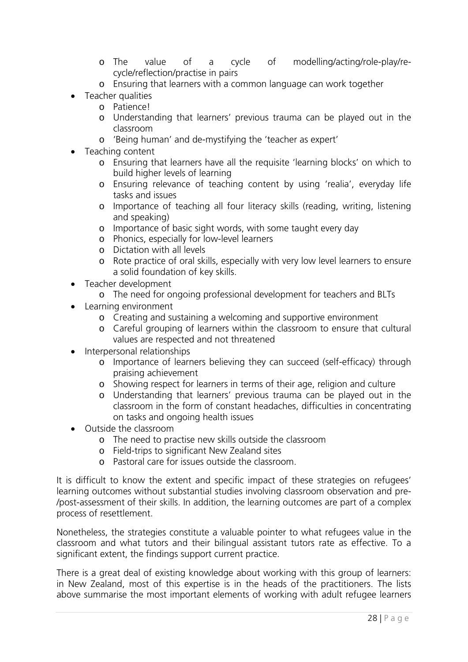- o The value of a cycle of modelling/acting/role-play/recycle/reflection/practise in pairs
- o Ensuring that learners with a common language can work together
- Teacher qualities
	- o Patience!
	- o Understanding that learners' previous trauma can be played out in the classroom
	- o 'Being human' and de-mystifying the 'teacher as expert'
- Teaching content
	- o Ensuring that learners have all the requisite 'learning blocks' on which to build higher levels of learning
	- o Ensuring relevance of teaching content by using 'realia', everyday life tasks and issues
	- o Importance of teaching all four literacy skills (reading, writing, listening and speaking)
	- o Importance of basic sight words, with some taught every day
	- o Phonics, especially for low-level learners
	- o Dictation with all levels
	- o Rote practice of oral skills, especially with very low level learners to ensure a solid foundation of key skills.
- Teacher development
	- o The need for ongoing professional development for teachers and BLTs
- Learning environment
	- o Creating and sustaining a welcoming and supportive environment
	- o Careful grouping of learners within the classroom to ensure that cultural values are respected and not threatened
- Interpersonal relationships
	- o Importance of learners believing they can succeed (self-efficacy) through praising achievement
	- o Showing respect for learners in terms of their age, religion and culture
	- o Understanding that learners' previous trauma can be played out in the classroom in the form of constant headaches, difficulties in concentrating on tasks and ongoing health issues
- Outside the classroom
	- o The need to practise new skills outside the classroom
	- o Field-trips to significant New Zealand sites
	- o Pastoral care for issues outside the classroom.

It is difficult to know the extent and specific impact of these strategies on refugees' learning outcomes without substantial studies involving classroom observation and pre- /post-assessment of their skills. In addition, the learning outcomes are part of a complex process of resettlement.

Nonetheless, the strategies constitute a valuable pointer to what refugees value in the classroom and what tutors and their bilingual assistant tutors rate as effective. To a significant extent, the findings support current practice.

There is a great deal of existing knowledge about working with this group of learners: in New Zealand, most of this expertise is in the heads of the practitioners. The lists above summarise the most important elements of working with adult refugee learners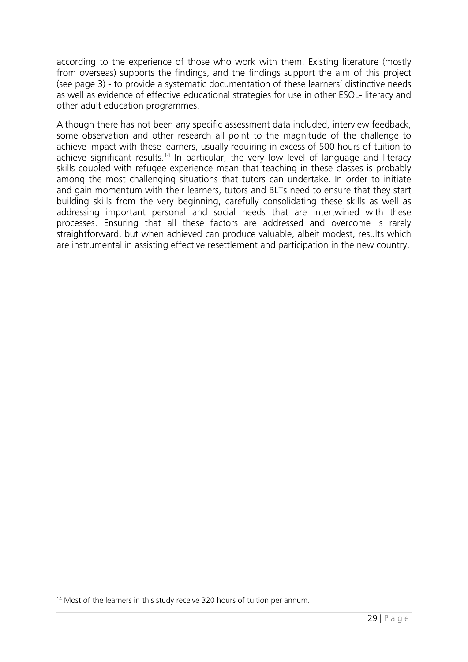according to the experience of those who work with them. Existing literature (mostly from overseas) supports the findings, and the findings support the aim of this project (see page 3) - to provide a systematic documentation of these learners' distinctive needs as well as evidence of effective educational strategies for use in other ESOL- literacy and other adult education programmes.

Although there has not been any specific assessment data included, interview feedback, some observation and other research all point to the magnitude of the challenge to achieve impact with these learners, usually requiring in excess of 500 hours of tuition to achieve significant results.<sup>14</sup> In particular, the very low level of language and literacy skills coupled with refugee experience mean that teaching in these classes is probably among the most challenging situations that tutors can undertake. In order to initiate and gain momentum with their learners, tutors and BLTs need to ensure that they start building skills from the very beginning, carefully consolidating these skills as well as addressing important personal and social needs that are intertwined with these processes. Ensuring that all these factors are addressed and overcome is rarely straightforward, but when achieved can produce valuable, albeit modest, results which are instrumental in assisting effective resettlement and participation in the new country.

<sup>&</sup>lt;sup>14</sup> Most of the learners in this study receive 320 hours of tuition per annum.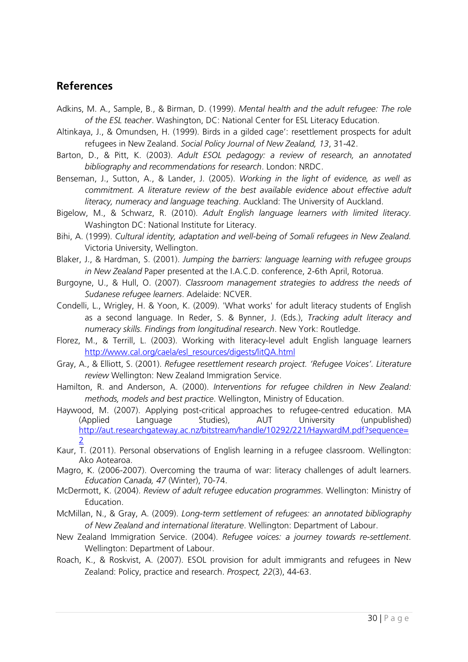## **References**

- Adkins, M. A., Sample, B., & Birman, D. (1999). *Mental health and the adult refugee: The role of the ESL teacher*. Washington, DC: National Center for ESL Literacy Education.
- Altinkaya, J., & Omundsen, H. (1999). Birds in a gilded cage': resettlement prospects for adult refugees in New Zealand. *Social Policy Journal of New Zealand, 13*, 31-42.
- Barton, D., & Pitt, K. (2003). *Adult ESOL pedagogy: a review of research, an annotated bibliography and recommendations for research*. London: NRDC.
- Benseman, J., Sutton, A., & Lander, J. (2005). *Working in the light of evidence, as well as commitment. A literature review of the best available evidence about effective adult literacy, numeracy and language teaching*. Auckland: The University of Auckland.
- Bigelow, M., & Schwarz, R. (2010). *Adult English language learners with limited literacy*. Washington DC: National Institute for Literacy.
- Bihi, A. (1999). *Cultural identity, adaptation and well-being of Somali refugees in New Zealand.* Victoria University, Wellington.
- Blaker, J., & Hardman, S. (2001). *Jumping the barriers: language learning with refugee groups in New Zealand* Paper presented at the I.A.C.D. conference, 2-6th April, Rotorua.
- Burgoyne, U., & Hull, O. (2007). *Classroom management strategies to address the needs of Sudanese refugee learners*. Adelaide: NCVER.
- Condelli, L., Wrigley, H. & Yoon, K. (2009). 'What works' for adult literacy students of English as a second language. In Reder, S. & Bynner, J. (Eds.), *Tracking adult literacy and numeracy skills. Findings from longitudinal research*. New York: Routledge.
- Florez, M., & Terrill, L. (2003). Working with literacy-level adult English language learners http://www.cal.org/caela/esl\_resources/digests/litQA.html
- Gray, A., & Elliott, S. (2001). *Refugee resettlement research project. 'Refugee Voices'. Literature review* Wellington: New Zealand Immigration Service.
- Hamilton, R. and Anderson, A. (2000). *Interventions for refugee children in New Zealand: methods, models and best practice*. Wellington, Ministry of Education.
- Haywood, M. (2007). Applying post-critical approaches to refugee-centred education. MA (Applied Language Studies), AUT University (unpublished) http://aut.researchgateway.ac.nz/bitstream/handle/10292/221/HaywardM.pdf?sequence= 2
- Kaur, T. (2011). Personal observations of English learning in a refugee classroom. Wellington: Ako Aotearoa.
- Magro, K. (2006-2007). Overcoming the trauma of war: literacy challenges of adult learners. *Education Canada, 47* (Winter), 70-74.
- McDermott, K. (2004). *Review of adult refugee education programmes*. Wellington: Ministry of Education.
- McMillan, N., & Gray, A. (2009). *Long-term settlement of refugees: an annotated bibliography of New Zealand and international literature*. Wellington: Department of Labour.
- New Zealand Immigration Service. (2004). *Refugee voices: a journey towards re-settlement*. Wellington: Department of Labour.
- Roach, K., & Roskvist, A. (2007). ESOL provision for adult immigrants and refugees in New Zealand: Policy, practice and research. *Prospect, 22*(3), 44-63.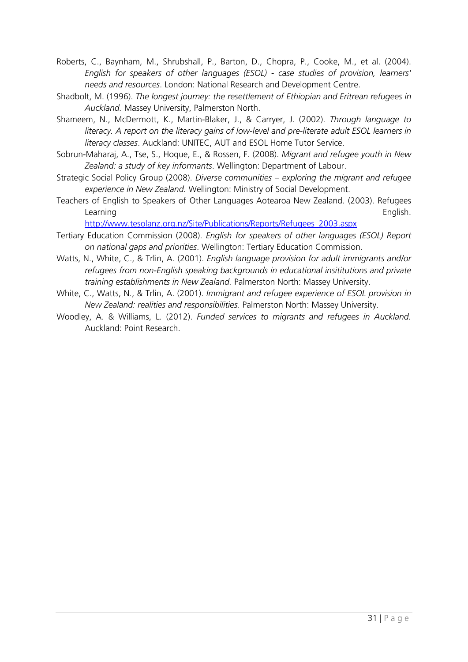- Roberts, C., Baynham, M., Shrubshall, P., Barton, D., Chopra, P., Cooke, M., et al. (2004). *English for speakers of other languages (ESOL) - case studies of provision, learners' needs and resources*. London: National Research and Development Centre.
- Shadbolt, M. (1996). *The longest journey: the resettlement of Ethiopian and Eritrean refugees in Auckland.* Massey University, Palmerston North.
- Shameem, N., McDermott, K., Martin-Blaker, J., & Carryer, J. (2002). *Through language to literacy. A report on the literacy gains of low-level and pre-literate adult ESOL learners in literacy classes*. Auckland: UNITEC, AUT and ESOL Home Tutor Service.
- Sobrun-Maharaj, A., Tse, S., Hoque, E., & Rossen, F. (2008). *Migrant and refugee youth in New Zealand: a study of key informants*. Wellington: Department of Labour.
- Strategic Social Policy Group (2008). *Diverse communities exploring the migrant and refugee experience in New Zealand.* Wellington: Ministry of Social Development.
- Teachers of English to Speakers of Other Languages Aotearoa New Zealand. (2003). Refugees Learning English.

http://www.tesolanz.org.nz/Site/Publications/Reports/Refugees\_2003.aspx

- Tertiary Education Commission (2008). *English for speakers of other languages (ESOL) Report on national gaps and priorities*. Wellington: Tertiary Education Commission.
- Watts, N., White, C., & Trlin, A. (2001). *English language provision for adult immigrants and/or refugees from non-English speaking backgrounds in educational insititutions and private training establishments in New Zealand.* Palmerston North: Massey University.
- White, C., Watts, N., & Trlin, A. (2001). *Immigrant and refugee experience of ESOL provision in New Zealand: realities and responsibilities*. Palmerston North: Massey University.
- Woodley, A. & Williams, L. (2012). *Funded services to migrants and refugees in Auckland.* Auckland: Point Research.